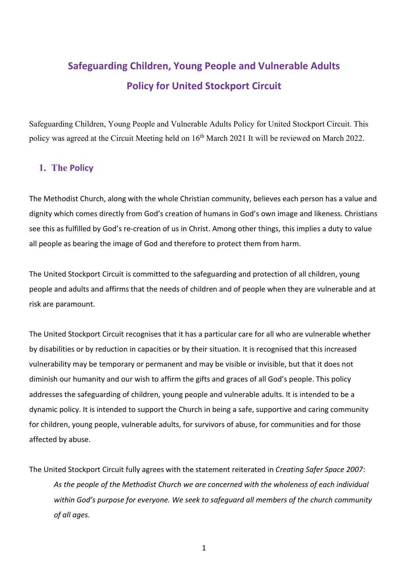# **Safeguarding Children, Young People and Vulnerable Adults Policy for United Stockport Circuit**

Safeguarding Children, Young People and Vulnerable Adults Policy for United Stockport Circuit. This policy was agreed at the Circuit Meeting held on 16<sup>th</sup> March 2021 It will be reviewed on March 2022.

# **1. The Policy**

The Methodist Church, along with the whole Christian community, believes each person has a value and dignity which comes directly from God's creation of humans in God's own image and likeness. Christians see this as fulfilled by God's re-creation of us in Christ. Among other things, this implies a duty to value all people as bearing the image of God and therefore to protect them from harm.

The United Stockport Circuit is committed to the safeguarding and protection of all children, young people and adults and affirms that the needs of children and of people when they are vulnerable and at risk are paramount.

The United Stockport Circuit recognises that it has a particular care for all who are vulnerable whether by disabilities or by reduction in capacities or by their situation. It is recognised that this increased vulnerability may be temporary or permanent and may be visible or invisible, but that it does not diminish our humanity and our wish to affirm the gifts and graces of all God's people. This policy addresses the safeguarding of children, young people and vulnerable adults. It is intended to be a dynamic policy. It is intended to support the Church in being a safe, supportive and caring community for children, young people, vulnerable adults, for survivors of abuse, for communities and for those affected by abuse.

The United Stockport Circuit fully agrees with the statement reiterated in *Creating Safer Space 2007*: *As the people of the Methodist Church we are concerned with the wholeness of each individual within God's purpose for everyone. We seek to safeguard all members of the church community of all ages.*

1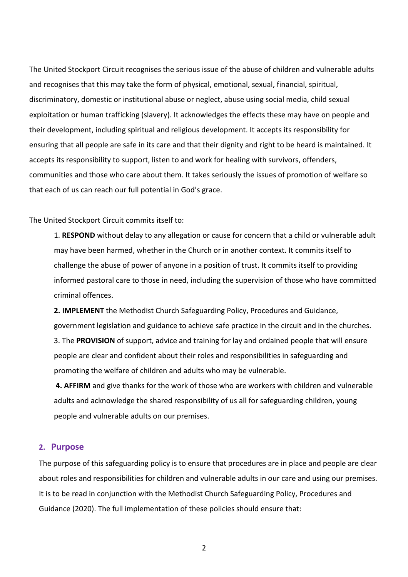The United Stockport Circuit recognises the serious issue of the abuse of children and vulnerable adults and recognises that this may take the form of physical, emotional, sexual, financial, spiritual, discriminatory, domestic or institutional abuse or neglect, abuse using social media, child sexual exploitation or human trafficking (slavery). It acknowledges the effects these may have on people and their development, including spiritual and religious development. It accepts its responsibility for ensuring that all people are safe in its care and that their dignity and right to be heard is maintained. It accepts its responsibility to support, listen to and work for healing with survivors, offenders, communities and those who care about them. It takes seriously the issues of promotion of welfare so that each of us can reach our full potential in God's grace.

#### The United Stockport Circuit commits itself to:

1. **RESPOND** without delay to any allegation or cause for concern that a child or vulnerable adult may have been harmed, whether in the Church or in another context. It commits itself to challenge the abuse of power of anyone in a position of trust. It commits itself to providing informed pastoral care to those in need, including the supervision of those who have committed criminal offences.

**2. IMPLEMENT** the Methodist Church Safeguarding Policy, Procedures and Guidance, government legislation and guidance to achieve safe practice in the circuit and in the churches. 3. The **PROVISION** of support, advice and training for lay and ordained people that will ensure people are clear and confident about their roles and responsibilities in safeguarding and promoting the welfare of children and adults who may be vulnerable.

**4. AFFIRM** and give thanks for the work of those who are workers with children and vulnerable adults and acknowledge the shared responsibility of us all for safeguarding children, young people and vulnerable adults on our premises.

#### **2. Purpose**

The purpose of this safeguarding policy is to ensure that procedures are in place and people are clear about roles and responsibilities for children and vulnerable adults in our care and using our premises. It is to be read in conjunction with the Methodist Church Safeguarding Policy, Procedures and Guidance (2020). The full implementation of these policies should ensure that:

2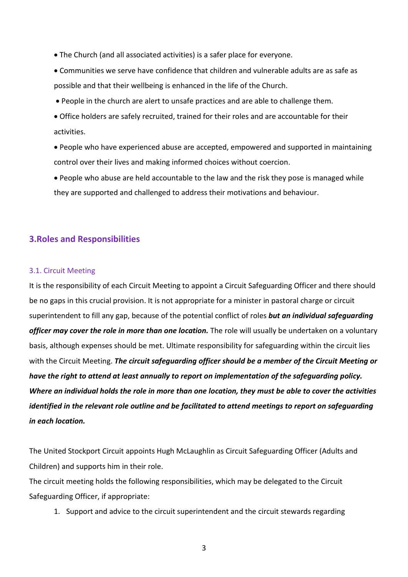- The Church (and all associated activities) is a safer place for everyone.
- Communities we serve have confidence that children and vulnerable adults are as safe as possible and that their wellbeing is enhanced in the life of the Church.
- People in the church are alert to unsafe practices and are able to challenge them.
- Office holders are safely recruited, trained for their roles and are accountable for their activities.
- People who have experienced abuse are accepted, empowered and supported in maintaining control over their lives and making informed choices without coercion.
- People who abuse are held accountable to the law and the risk they pose is managed while they are supported and challenged to address their motivations and behaviour.

## **3.Roles and Responsibilities**

#### 3.1. Circuit Meeting

It is the responsibility of each Circuit Meeting to appoint a Circuit Safeguarding Officer and there should be no gaps in this crucial provision. It is not appropriate for a minister in pastoral charge or circuit superintendent to fill any gap, because of the potential conflict of roles *but an individual safeguarding*  officer may cover the role in more than one location. The role will usually be undertaken on a voluntary basis, although expenses should be met. Ultimate responsibility for safeguarding within the circuit lies with the Circuit Meeting. *The circuit safeguarding officer should be a member of the Circuit Meeting or have the right to attend at least annually to report on implementation of the safeguarding policy. Where an individual holds the role in more than one location, they must be able to cover the activities identified in the relevant role outline and be facilitated to attend meetings to report on safeguarding in each location.*

The United Stockport Circuit appoints Hugh McLaughlin as Circuit Safeguarding Officer (Adults and Children) and supports him in their role.

The circuit meeting holds the following responsibilities, which may be delegated to the Circuit Safeguarding Officer, if appropriate:

- 1. Support and advice to the circuit superintendent and the circuit stewards regarding
	- 3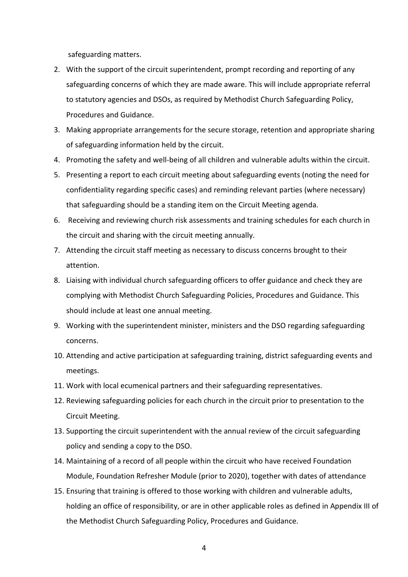safeguarding matters.

- 2. With the support of the circuit superintendent, prompt recording and reporting of any safeguarding concerns of which they are made aware. This will include appropriate referral to statutory agencies and DSOs, as required by Methodist Church Safeguarding Policy, Procedures and Guidance.
- 3. Making appropriate arrangements for the secure storage, retention and appropriate sharing of safeguarding information held by the circuit.
- 4. Promoting the safety and well-being of all children and vulnerable adults within the circuit.
- 5. Presenting a report to each circuit meeting about safeguarding events (noting the need for confidentiality regarding specific cases) and reminding relevant parties (where necessary) that safeguarding should be a standing item on the Circuit Meeting agenda.
- 6. Receiving and reviewing church risk assessments and training schedules for each church in the circuit and sharing with the circuit meeting annually.
- 7. Attending the circuit staff meeting as necessary to discuss concerns brought to their attention.
- 8. Liaising with individual church safeguarding officers to offer guidance and check they are complying with Methodist Church Safeguarding Policies, Procedures and Guidance. This should include at least one annual meeting.
- 9. Working with the superintendent minister, ministers and the DSO regarding safeguarding concerns.
- 10. Attending and active participation at safeguarding training, district safeguarding events and meetings.
- 11. Work with local ecumenical partners and their safeguarding representatives.
- 12. Reviewing safeguarding policies for each church in the circuit prior to presentation to the Circuit Meeting.
- 13. Supporting the circuit superintendent with the annual review of the circuit safeguarding policy and sending a copy to the DSO.
- 14. Maintaining of a record of all people within the circuit who have received Foundation Module, Foundation Refresher Module (prior to 2020), together with dates of attendance
- 15. Ensuring that training is offered to those working with children and vulnerable adults, holding an office of responsibility, or are in other applicable roles as defined in Appendix III of the Methodist Church Safeguarding Policy, Procedures and Guidance.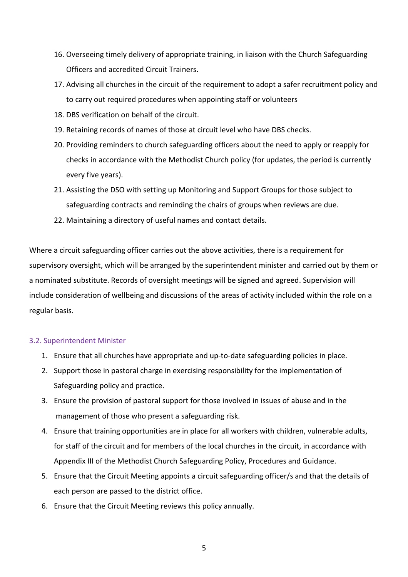- 16. Overseeing timely delivery of appropriate training, in liaison with the Church Safeguarding Officers and accredited Circuit Trainers.
- 17. Advising all churches in the circuit of the requirement to adopt a safer recruitment policy and to carry out required procedures when appointing staff or volunteers
- 18. DBS verification on behalf of the circuit.
- 19. Retaining records of names of those at circuit level who have DBS checks.
- 20. Providing reminders to church safeguarding officers about the need to apply or reapply for checks in accordance with the Methodist Church policy (for updates, the period is currently every five years).
- 21. Assisting the DSO with setting up Monitoring and Support Groups for those subject to safeguarding contracts and reminding the chairs of groups when reviews are due.
- 22. Maintaining a directory of useful names and contact details.

Where a circuit safeguarding officer carries out the above activities, there is a requirement for supervisory oversight, which will be arranged by the superintendent minister and carried out by them or a nominated substitute. Records of oversight meetings will be signed and agreed. Supervision will include consideration of wellbeing and discussions of the areas of activity included within the role on a regular basis.

#### 3.2. Superintendent Minister

- 1. Ensure that all churches have appropriate and up-to-date safeguarding policies in place.
- 2. Support those in pastoral charge in exercising responsibility for the implementation of Safeguarding policy and practice.
- 3. Ensure the provision of pastoral support for those involved in issues of abuse and in the management of those who present a safeguarding risk.
- 4. Ensure that training opportunities are in place for all workers with children, vulnerable adults, for staff of the circuit and for members of the local churches in the circuit, in accordance with Appendix III of the Methodist Church Safeguarding Policy, Procedures and Guidance.
- 5. Ensure that the Circuit Meeting appoints a circuit safeguarding officer/s and that the details of each person are passed to the district office.
- 6. Ensure that the Circuit Meeting reviews this policy annually.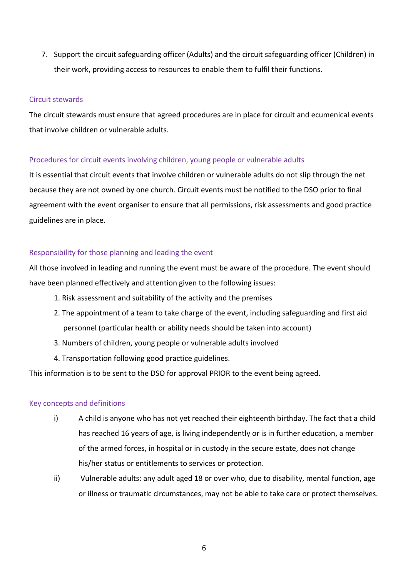7. Support the circuit safeguarding officer (Adults) and the circuit safeguarding officer (Children) in their work, providing access to resources to enable them to fulfil their functions.

#### Circuit stewards

The circuit stewards must ensure that agreed procedures are in place for circuit and ecumenical events that involve children or vulnerable adults.

## Procedures for circuit events involving children, young people or vulnerable adults

It is essential that circuit events that involve children or vulnerable adults do not slip through the net because they are not owned by one church. Circuit events must be notified to the DSO prior to final agreement with the event organiser to ensure that all permissions, risk assessments and good practice guidelines are in place.

## Responsibility for those planning and leading the event

All those involved in leading and running the event must be aware of the procedure. The event should have been planned effectively and attention given to the following issues:

- 1. Risk assessment and suitability of the activity and the premises
- 2. The appointment of a team to take charge of the event, including safeguarding and first aid personnel (particular health or ability needs should be taken into account)
- 3. Numbers of children, young people or vulnerable adults involved
- 4. Transportation following good practice guidelines.

This information is to be sent to the DSO for approval PRIOR to the event being agreed.

#### Key concepts and definitions

- i) A child is anyone who has not yet reached their eighteenth birthday. The fact that a child has reached 16 years of age, is living independently or is in further education, a member of the armed forces, in hospital or in custody in the secure estate, does not change his/her status or entitlements to services or protection.
- ii) Vulnerable adults: any adult aged 18 or over who, due to disability, mental function, age or illness or traumatic circumstances, may not be able to take care or protect themselves.